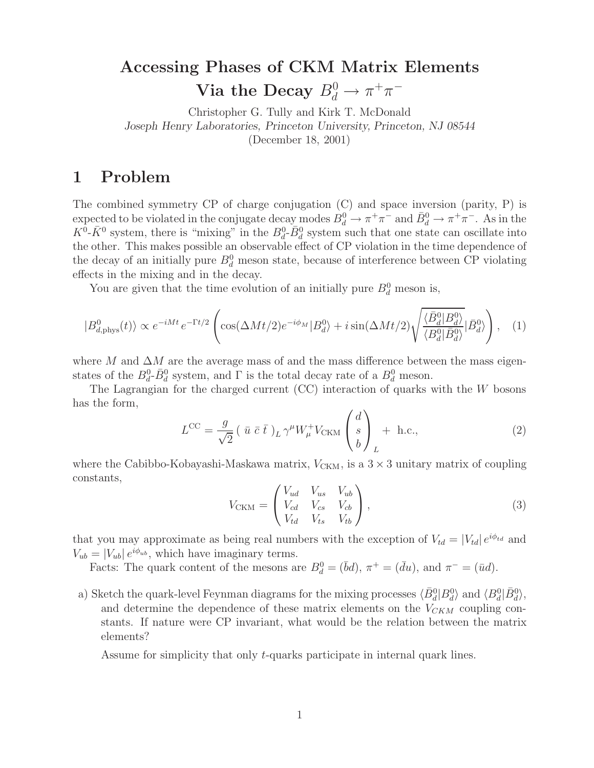## $\mathbf{V}_{\mathbf{r}}^{\mathbf{r}}$  and  $\mathbf{r}_{\mathbf{r}}^{\mathbf{r}}$  of  $\mathbf{P}_{\mathbf{r}}^{\mathbf{r}}$  and  $\mathbf{P}_{\mathbf{r}}^{\mathbf{r}}$  and  $\mathbf{P}_{\mathbf{r}}^{\mathbf{r}}$  and  $\mathbf{P}_{\mathbf{r}}^{\mathbf{r}}$  and  $\mathbf{P}_{\mathbf{r}}^{\mathbf{r}}$  and  $\mathbf{P}_{\mathbf{r}}^{\mathbf{r}}$  and  $\mathbf{P}_{\mathbf{r}}^$ **Via the Decay**  $B_d^0 \to \pi^+\pi^-$

Christopher G. Tully and Kirk T. McDonald *Joseph Henry Laboratories, Princeton University, Princeton, NJ 08544* (December 18, 2001)

## $\mathbf 1$

The combined symmetry CP of charge conjugation (C) and space inversion (parity, P) is expected to be violated in the conjugate decay modes  $B_d^0 \to \pi^+\pi^-$  and  $\bar{B}_d^0 \to \pi^+\pi^-$ . As in the  $K^0$ - $\bar{K}^0$  system, there is "mixing" in the  $B_d^0$ - $\bar{B}_d^0$  system such that one state can oscillate into the other. This makes possible an observable effect of CP violation in the time dependence of the decay of an initially pure  $B_d^0$  meson state, because of interference between CP violating effects in the mixing and in the decay.

You are given that the time evolution of an initially pure  $B_d^0$  meson is,

$$
|B_{d,\text{phys}}^0(t)\rangle \propto e^{-iMt} e^{-\Gamma t/2} \left( \cos(\Delta Mt/2) e^{-i\phi_M} |B_d^0\rangle + i \sin(\Delta Mt/2) \sqrt{\frac{\langle \bar{B}_d^0 | B_d^0 \rangle}{\langle B_d^0 | \bar{B}_d^0 \rangle}} |\bar{B}_d^0\rangle \right), \quad (1)
$$

where M and  $\Delta M$  are the average mass of and the mass difference between the mass eigenstates of the  $B_d^0$ - $\bar{B}_d^0$  system, and  $\Gamma$  is the total decay rate of a  $B_d^0$  meson.

The Lagrangian for the charged current  $(CC)$  interaction of quarks with the  $W$  bosons has the form,  $\sqrt{d}$ 

$$
L^{CC} = \frac{g}{\sqrt{2}} \left( \bar{u} \bar{c} \bar{t} \right)_{L} \gamma^{\mu} W_{\mu}^{+} V_{CKM} \begin{pmatrix} d \\ s \\ b \end{pmatrix}_{L} + \text{ h.c.}, \qquad (2)
$$

where the Cabibbo-Kobayashi-Maskawa matrix,  $V_{\text{CKM}}$ , is a  $3 \times 3$  unitary matrix of coupling constants,

$$
V_{\text{CKM}} = \begin{pmatrix} V_{ud} & V_{us} & V_{ub} \\ V_{cd} & V_{cs} & V_{cb} \\ V_{td} & V_{ts} & V_{tb} \end{pmatrix},
$$
\n(3)

that you may approximate as being real numbers with the exception of  $V_{td} = |V_{td}| e^{i\phi_{td}}$  and  $V_{ub} = |V_{ub}| e^{i\phi_{ub}},$  which have imaginary terms.

Facts: The quark content of the mesons are  $B_d^0 = (\bar{b}d)$ ,  $\pi^+ = (\bar{d}u)$ , and  $\pi^- = (\bar{u}d)$ .

a) Sketch the quark-level Feynman diagrams for the mixing processes  $\langle \bar{B}_d^0 | B_d^0 \rangle$  and  $\langle B_d^0 | \bar{B}_d^0 \rangle$ , and determine the dependence of these matrix elements on the  $V_{CKM}$  coupling constants. If nature were CP invariant, what would be the relation between the matrix elements?

Assume for simplicity that only t-quarks participate in internal quark lines.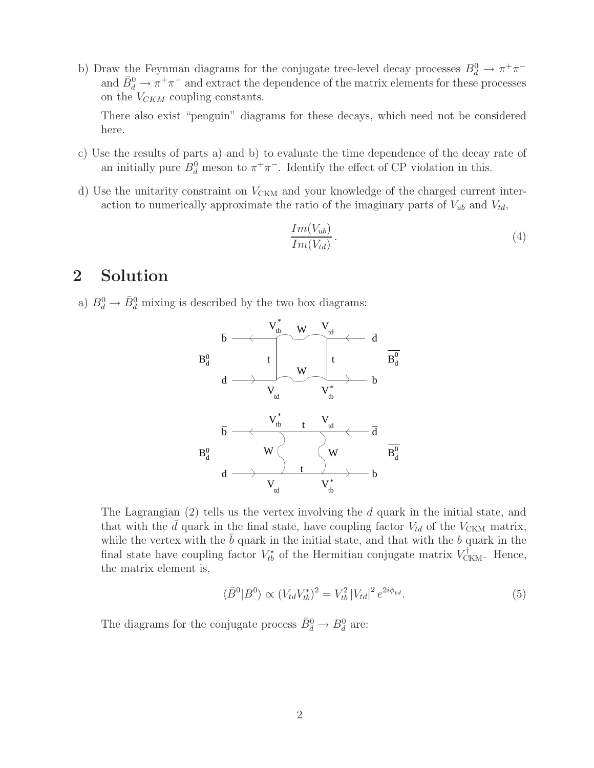b) Draw the Feynman diagrams for the conjugate tree-level decay processes  $B_d^0 \to \pi^+\pi^$ and  $\bar{B}_d^0 \to \pi^+ \pi^-$  and extract the dependence of the matrix elements for these processes on the  $V_{CKM}$  coupling constants.

There also exist "penguin" diagrams for these decays, which need not be considered here.

- c) Use the results of parts a) and b) to evaluate the time dependence of the decay rate of an initially pure  $B_d^0$  meson to  $\pi^+\pi^-$ . Identify the effect of CP violation in this.
- d) Use the unitarity constraint on  $V_{CKM}$  and your knowledge of the charged current interaction to numerically approximate the ratio of the imaginary parts of  $V_{ub}$  and  $V_{td}$ ,

$$
\frac{Im(V_{ub})}{Im(V_{td})}.
$$
\n(4)

## **2**  $\frac{1}{2}$

a)  $B_d^0 \rightarrow \bar{B}_d^0$  mixing is described by the two box diagrams:



The Lagrangian (2) tells us the vertex involving the d quark in the initial state, and that with the  $\bar{d}$  quark in the final state, have coupling factor  $V_{td}$  of the  $V_{CKM}$  matrix, while the vertex with the  $\bar{b}$  quark in the initial state, and that with the b quark in the final state have coupling factor  $V_{tb}^{\star}$  of the Hermitian conjugate matrix  $V_{CKM}^{\dagger}$ . Hence, the matrix element is,

$$
\langle \bar{B}^0 | B^0 \rangle \propto (V_{td} V_{tb}^*)^2 = V_{tb}^2 |V_{td}|^2 e^{2i\phi_{td}}.
$$
 (5)

The diagrams for the conjugate process  $\bar{B}_d^0 \to B_d^0$  are: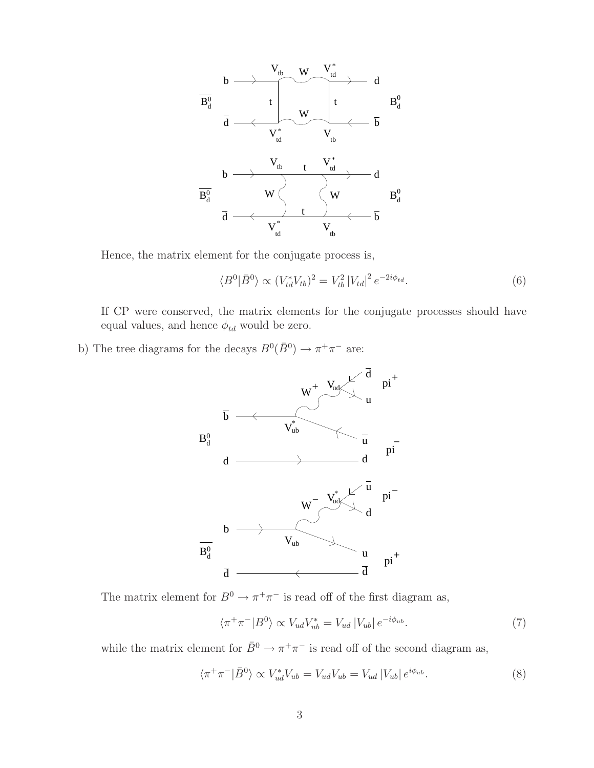

Hence, the matrix element for the conjugate process is,

$$
\langle B^{0} | \bar{B}^{0} \rangle \propto (V_{td}^{*} V_{tb})^{2} = V_{tb}^{2} |V_{td}|^{2} e^{-2i\phi_{td}}.
$$
 (6)

If CP were conserved, the matrix elements for the conjugate processes should have equal values, and hence  $\phi_{td}$  would be zero.

b) The tree diagrams for the decays  $B^0(\bar{B}^0) \rightarrow \pi^+ \pi^-$  are:



The matrix element for  $B^0 \to \pi^+ \pi^-$  is read off of the first diagram as,

$$
\langle \pi^+ \pi^- | B^0 \rangle \propto V_{ud} V_{ub}^* = V_{ud} |V_{ub}| e^{-i\phi_{ub}}.
$$
 (7)

while the matrix element for  $\bar{B}^0 \to \pi^+ \pi^-$  is read off of the second diagram as,

$$
\langle \pi^+ \pi^- | \bar{B}^0 \rangle \propto V_{ud}^* V_{ub} = V_{ud} V_{ub} = V_{ud} |V_{ub}| e^{i\phi_{ub}}.
$$
\n(8)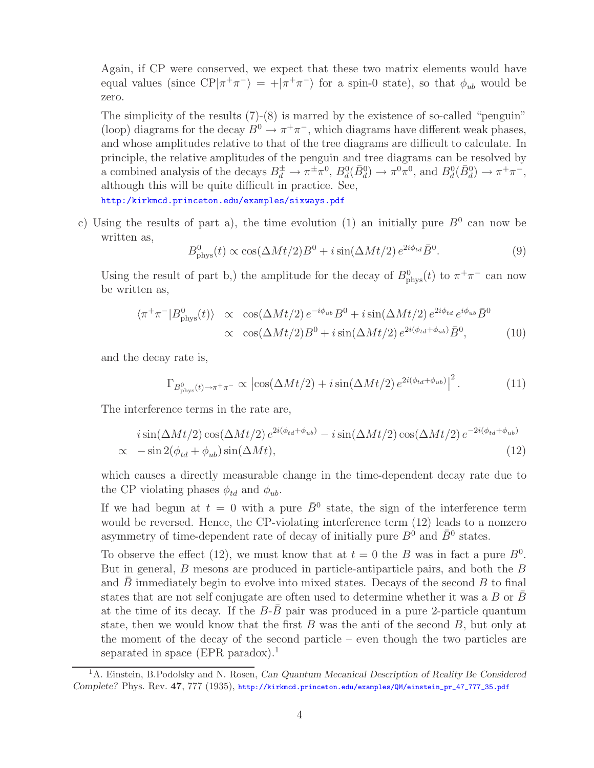Again, if CP were conserved, we expect that these two matrix elements would have equal values (since  $\text{CP}|\pi^+\pi^-\rangle = +|\pi^+\pi^-\rangle$  for a spin-0 state), so that  $\phi_{ub}$  would be zero.

The simplicity of the results  $(7)-(8)$  is marred by the existence of so-called "penguin" (loop) diagrams for the decay  $B^0 \to \pi^+\pi^-$ , which diagrams have different weak phases, and whose amplitudes relative to that of the tree diagrams are difficult to calculate. In principle, the relative amplitudes of the penguin and tree diagrams can be resolved by a combined analysis of the decays  $B_d^{\pm} \to \pi^{\pm} \pi^0$ ,  $B_d^0(\bar{B}_d^0) \to \pi^0 \pi^0$ , and  $B_d^0(\bar{B}_d^0) \to \pi^+ \pi^-$ , although this will be quite difficult in practice. See,

http:/kirkmcd.princeton.edu/examples/sixways.pdf

c) Using the results of part a), the time evolution (1) an initially pure  $B^0$  can now be written as,

$$
B_{\rm phys}^0(t) \propto \cos(\Delta M t/2)B^0 + i\sin(\Delta M t/2)e^{2i\phi_{td}}\bar{B}^0.
$$
 (9)

Using the result of part b,) the amplitude for the decay of  $B^0_{\text{phys}}(t)$  to  $\pi^+\pi^-$  can now be written as,

$$
\langle \pi^+ \pi^- | B_{\text{phys}}^0(t) \rangle \propto \cos(\Delta M t/2) e^{-i\phi_{ub}} B^0 + i \sin(\Delta M t/2) e^{2i\phi_{td}} e^{i\phi_{ub}} \bar{B}^0
$$
  
 
$$
\propto \cos(\Delta M t/2) B^0 + i \sin(\Delta M t/2) e^{2i(\phi_{td} + \phi_{ub})} \bar{B}^0, \tag{10}
$$

and the decay rate is,

$$
\Gamma_{B^0_{\text{phys}}(t)\to\pi^+\pi^-} \propto \left| \cos(\Delta Mt/2) + i \sin(\Delta Mt/2) e^{2i(\phi_{td} + \phi_{ub})} \right|^2. \tag{11}
$$

The interference terms in the rate are,

$$
i\sin(\Delta Mt/2)\cos(\Delta Mt/2)e^{2i(\phi_{td}+\phi_{ub})} - i\sin(\Delta Mt/2)\cos(\Delta Mt/2)e^{-2i(\phi_{td}+\phi_{ub})}\n\times -\sin 2(\phi_{td}+\phi_{ub})\sin(\Delta Mt),
$$
\n(12)

which causes a directly measurable change in the time-dependent decay rate due to the CP violating phases  $\phi_{td}$  and  $\phi_{ub}$ .

If we had begun at  $t = 0$  with a pure  $\bar{B}^0$  state, the sign of the interference term would be reversed. Hence, the CP-violating interference term (12) leads to a nonzero asymmetry of time-dependent rate of decay of initially pure  $B^0$  and  $\bar{B}^0$  states.

To observe the effect (12), we must know that at  $t = 0$  the B was in fact a pure  $B^0$ . But in general, B mesons are produced in particle-antiparticle pairs, and both the B and  $B$  immediately begin to evolve into mixed states. Decays of the second  $B$  to final states that are not self conjugate are often used to determine whether it was a B or  $\bar{B}$ at the time of its decay. If the  $B$ - $B$  pair was produced in a pure 2-particle quantum state, then we would know that the first  $B$  was the anti of the second  $B$ , but only at the moment of the decay of the second particle – even though the two particles are separated in space (EPR paradox).<sup>1</sup>

<sup>1</sup>A. Einstein, B.Podolsky and N. Rosen, *Can Quantum Mecanical Description of Reality Be Considered Complete?* Phys. Rev. **47**, 777 (1935), http://kirkmcd.princeton.edu/examples/QM/einstein\_pr\_47\_777\_35.pdf